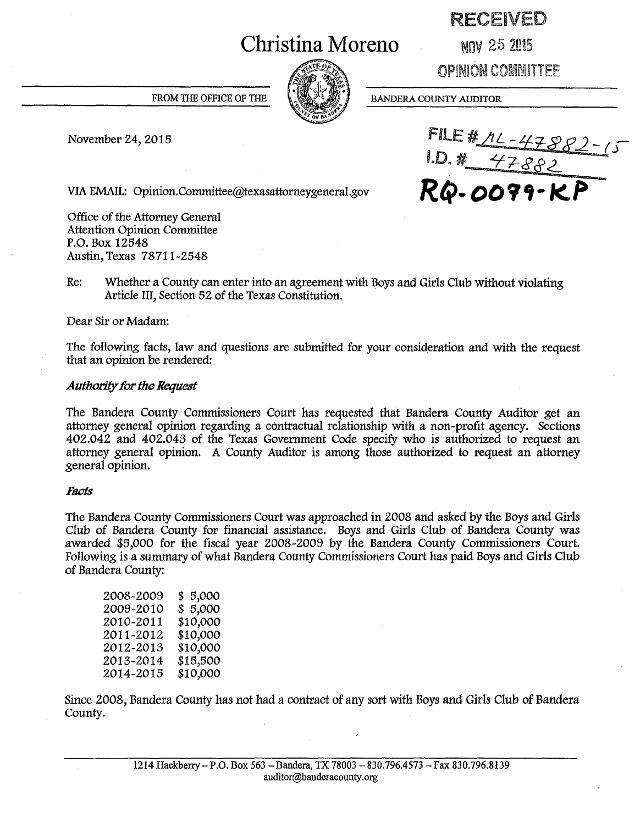# **Christina Moreno**

# RECEIVED

NOV 25 2015

OPINION COMMITTEE

**BANDERA COUNTY AUDITOR** 

FROM THE OFFICE OF THE

November 24, 2015 **FILE #**  $ML - 47599$ *I.D. # 47882* VIA EMAIL: Opinion.Committee@texasattorneygeneral.gov **RQ-** *00* **9 'f • KP** -

Office of the Attorney General Attention Opinion Committee P.O. Box 12548 Austin, Texas 78711-2548

Re: Whether a County can enter into an agreement with Boys and Girls Club without violating Article III, Section 52 of the Texas Constitution.

Dear Sir or Madam:

The following facts, law and questions are submitted for your consideration and with the request that an opinion be rendered:

## *Authority for the Request*

The Bandera County Commissioners Court has requested that Bandera County Auditor get an attorney general opinion regarding a contractual relationship with a non-profit agency. Sections 402.042 and 402.043 of the Texas Government Code specify who is authorized to request an attorney general opinion. A County Auditor is among those authorized to request an attorney general opinion.

#### *Facts*

The Bandera County Commissioners Court was approached in 2008 and asked by the Boys and Girls Club of Bandera County for financial assistance. Boys and Girls Club of Bandera County was awarded \$5,000 for the fiscal year 2008-2009 by the Bandera County Commissioners Court. Following is a summary of what Bandera County Commissioners Court has paid Boys and Girls Club of Bandera County:

| 2008-2009 | \$5,000  |
|-----------|----------|
| 2009-2010 | \$5,000  |
| 2010-2011 | \$10,000 |
| 2011-2012 | \$10,000 |
| 2012-2013 | \$10,000 |
| 2013-2014 | \$15,500 |
| 2014-2015 | \$10,000 |

Since 2008, Bandera County has not had a contract of any sort with Boys and Girls Club of Bandera County.